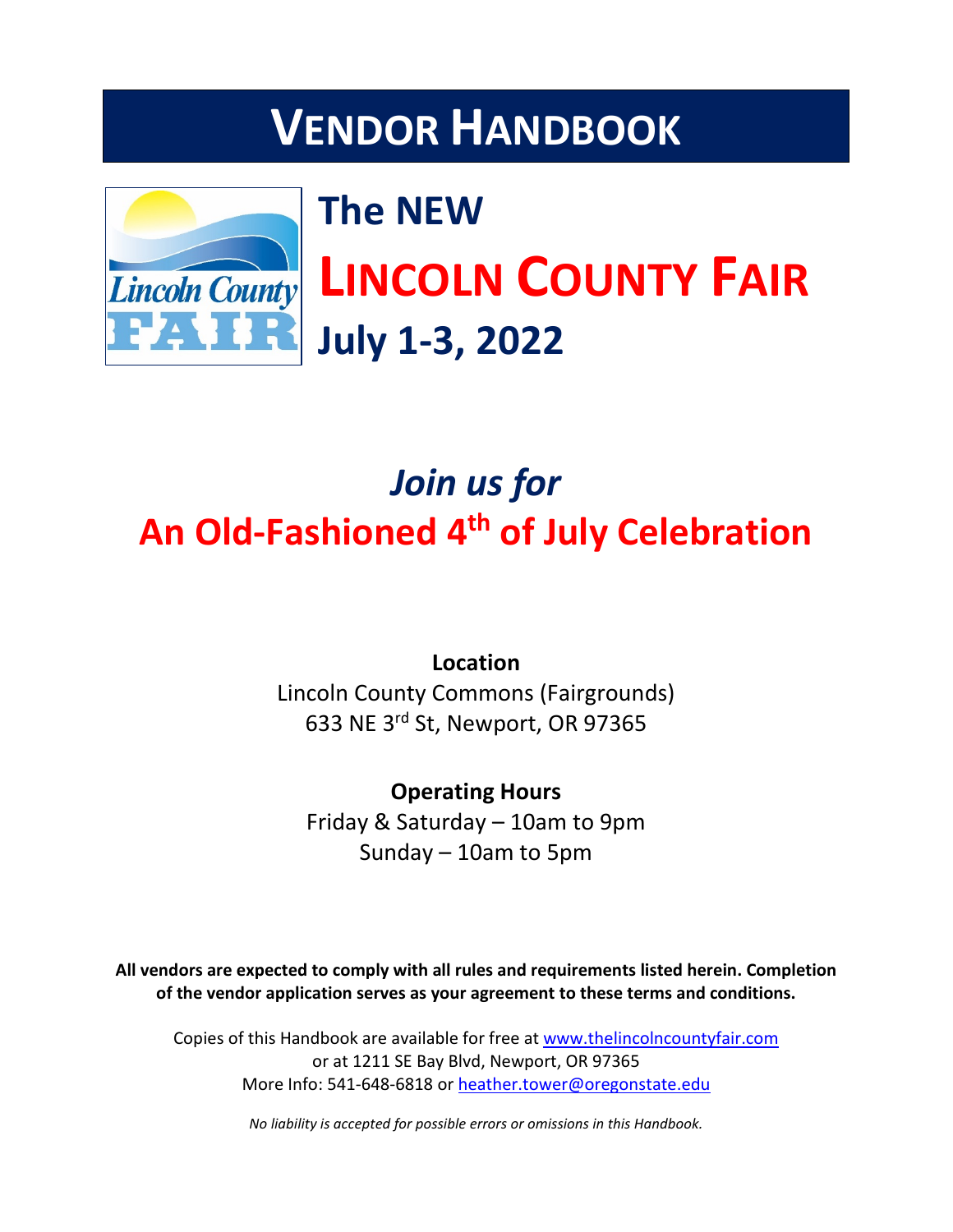# **VENDOR HANDBOOK**



# **The NEW LINCOLN COUNTY FAIR July 1-3, 2022**

## *Join us for* **An Old-Fashioned 4th of July Celebration**

**Location** Lincoln County Commons (Fairgrounds) 633 NE 3rd St, Newport, OR 97365

**Operating Hours** Friday & Saturday – 10am to 9pm Sunday – 10am to 5pm

**All vendors are expected to comply with all rules and requirements listed herein. Completion of the vendor application serves as your agreement to these terms and conditions.**

Copies of this Handbook are available for free at [www.thelincolncountyfair.com](http://www.thelincolncountyfair.com/) or at 1211 SE Bay Blvd, Newport, OR 97365 More Info: 541-648-6818 or [heather.tower@oregonstate.edu](mailto:heather.tower@oregonstate.edu)

*No liability is accepted for possible errors or omissions in this Handbook.*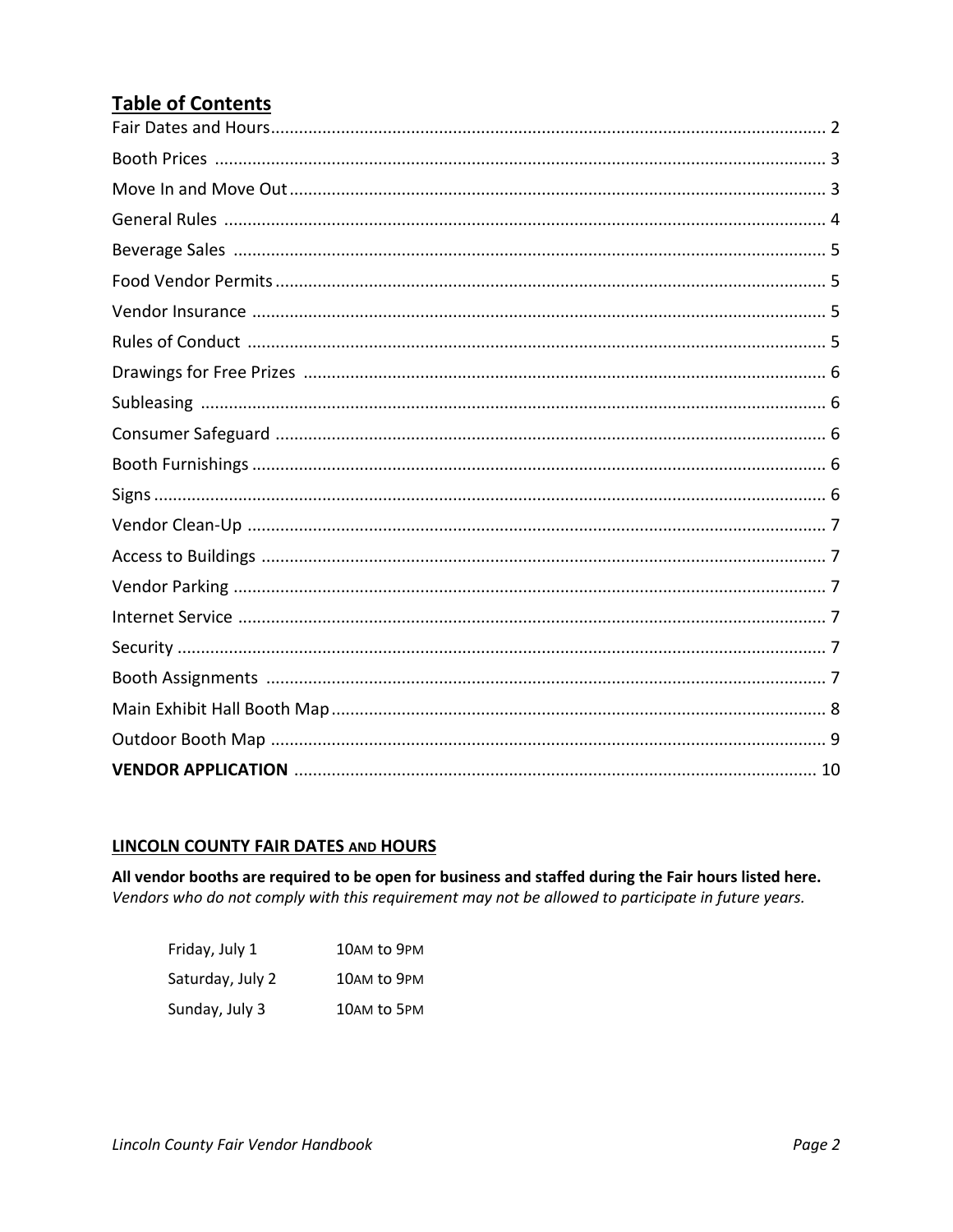## **Table of Contents**

#### **LINCOLN COUNTY FAIR DATES AND HOURS**

All vendor booths are required to be open for business and staffed during the Fair hours listed here. Vendors who do not comply with this requirement may not be allowed to participate in future years.

| Friday, July 1   | 10AM to 9PM |
|------------------|-------------|
| Saturday, July 2 | 10AM to 9PM |
| Sunday, July 3   | 10AM to 5PM |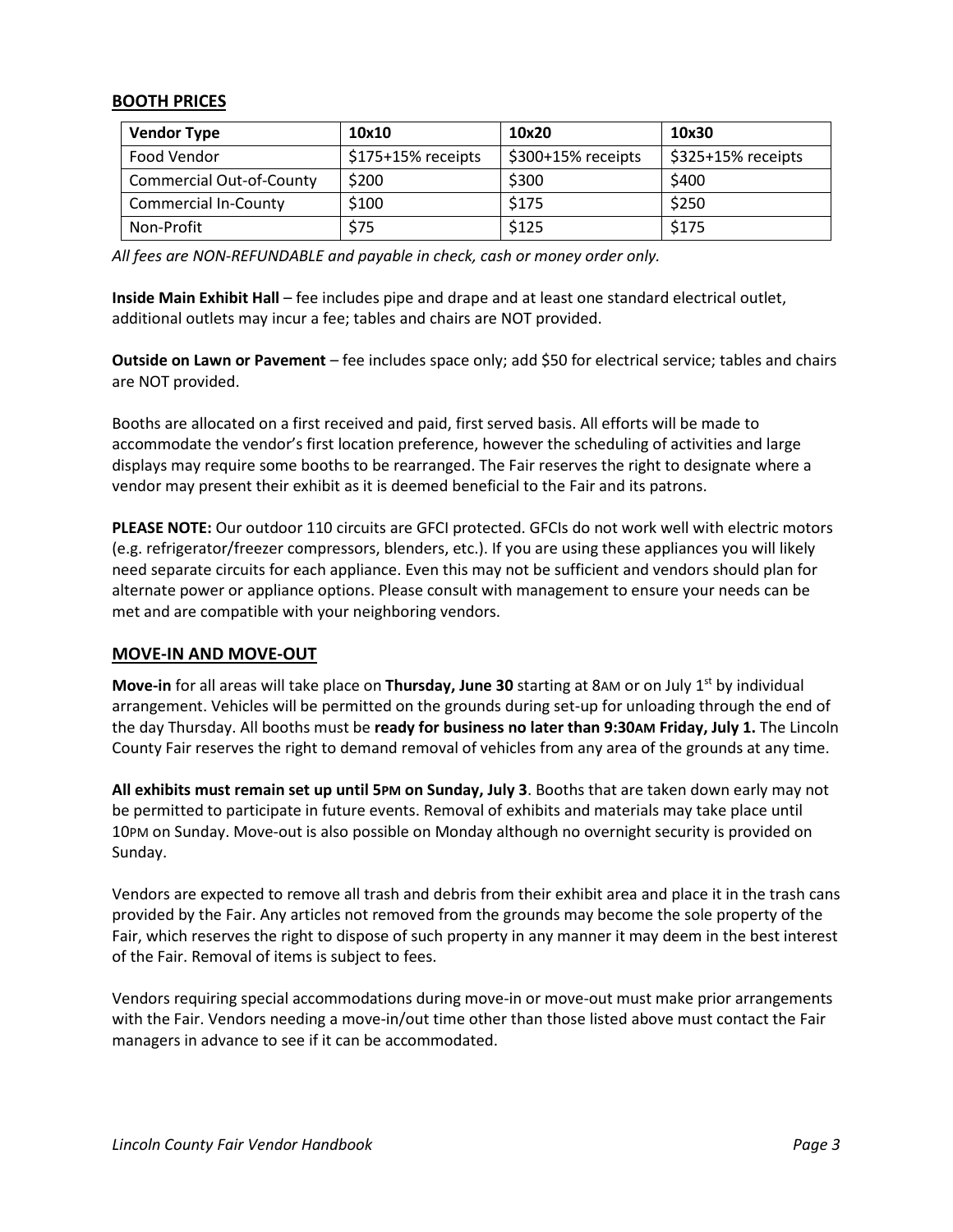#### **BOOTH PRICES**

| <b>Vendor Type</b>              | 10x10              | 10x20              | 10x30               |
|---------------------------------|--------------------|--------------------|---------------------|
| Food Vendor                     | \$175+15% receipts | \$300+15% receipts | $$325+15%$ receipts |
| <b>Commercial Out-of-County</b> | \$200              | \$300              | \$400               |
| <b>Commercial In-County</b>     | \$100              | \$175              | \$250               |
| Non-Profit                      | \$75               | \$125              | \$175               |

*All fees are NON-REFUNDABLE and payable in check, cash or money order only.*

**Inside Main Exhibit Hall** – fee includes pipe and drape and at least one standard electrical outlet, additional outlets may incur a fee; tables and chairs are NOT provided.

**Outside on Lawn or Pavement** – fee includes space only; add \$50 for electrical service; tables and chairs are NOT provided.

Booths are allocated on a first received and paid, first served basis. All efforts will be made to accommodate the vendor's first location preference, however the scheduling of activities and large displays may require some booths to be rearranged. The Fair reserves the right to designate where a vendor may present their exhibit as it is deemed beneficial to the Fair and its patrons.

**PLEASE NOTE:** Our outdoor 110 circuits are GFCI protected. GFCIs do not work well with electric motors (e.g. refrigerator/freezer compressors, blenders, etc.). If you are using these appliances you will likely need separate circuits for each appliance. Even this may not be sufficient and vendors should plan for alternate power or appliance options. Please consult with management to ensure your needs can be met and are compatible with your neighboring vendors.

#### **MOVE-IN AND MOVE-OUT**

**Move-in** for all areas will take place on **Thursday, June 30** starting at 8AM or on July 1<sup>st</sup> by individual arrangement. Vehicles will be permitted on the grounds during set-up for unloading through the end of the day Thursday. All booths must be **ready for business no later than 9:30AM Friday, July 1.** The Lincoln County Fair reserves the right to demand removal of vehicles from any area of the grounds at any time.

**All exhibits must remain set up until 5PM on Sunday, July 3**. Booths that are taken down early may not be permitted to participate in future events. Removal of exhibits and materials may take place until 10PM on Sunday. Move-out is also possible on Monday although no overnight security is provided on Sunday.

Vendors are expected to remove all trash and debris from their exhibit area and place it in the trash cans provided by the Fair. Any articles not removed from the grounds may become the sole property of the Fair, which reserves the right to dispose of such property in any manner it may deem in the best interest of the Fair. Removal of items is subject to fees.

Vendors requiring special accommodations during move-in or move-out must make prior arrangements with the Fair. Vendors needing a move-in/out time other than those listed above must contact the Fair managers in advance to see if it can be accommodated.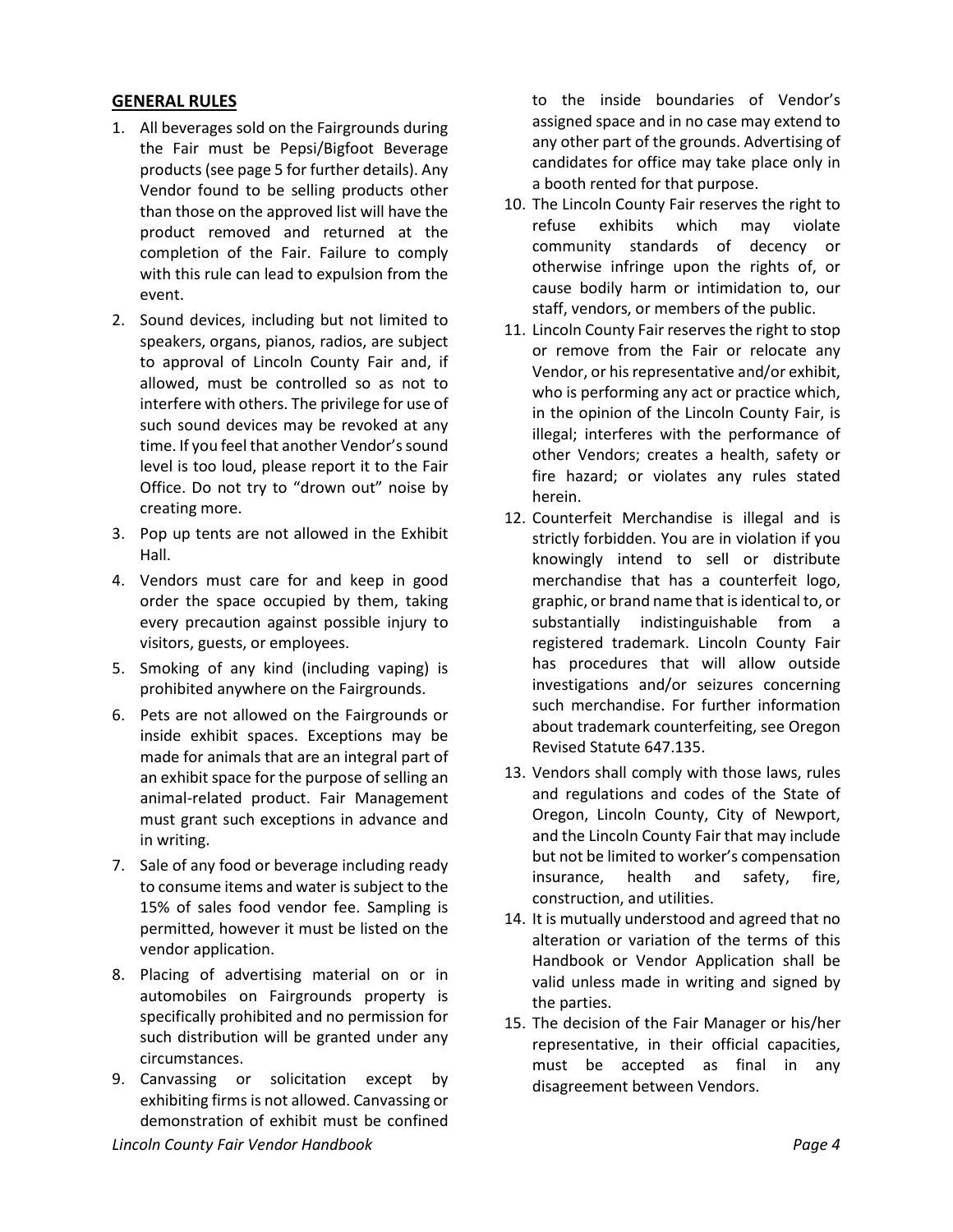#### **GENERAL RULES**

- 1. All beverages sold on the Fairgrounds during the Fair must be Pepsi/Bigfoot Beverage products (see page 5 for further details). Any Vendor found to be selling products other than those on the approved list will have the product removed and returned at the completion of the Fair. Failure to comply with this rule can lead to expulsion from the event.
- 2. Sound devices, including but not limited to speakers, organs, pianos, radios, are subject to approval of Lincoln County Fair and, if allowed, must be controlled so as not to interfere with others. The privilege for use of such sound devices may be revoked at any time. If you feel that another Vendor's sound level is too loud, please report it to the Fair Office. Do not try to "drown out" noise by creating more.
- 3. Pop up tents are not allowed in the Exhibit Hall.
- 4. Vendors must care for and keep in good order the space occupied by them, taking every precaution against possible injury to visitors, guests, or employees.
- 5. Smoking of any kind (including vaping) is prohibited anywhere on the Fairgrounds.
- 6. Pets are not allowed on the Fairgrounds or inside exhibit spaces. Exceptions may be made for animals that are an integral part of an exhibit space for the purpose of selling an animal-related product. Fair Management must grant such exceptions in advance and in writing.
- 7. Sale of any food or beverage including ready to consume items and water is subject to the 15% of sales food vendor fee. Sampling is permitted, however it must be listed on the vendor application.
- 8. Placing of advertising material on or in automobiles on Fairgrounds property is specifically prohibited and no permission for such distribution will be granted under any circumstances.
- *Lincoln County Fair Vendor Handbook Page 4* 9. Canvassing or solicitation except by exhibiting firms is not allowed. Canvassing or demonstration of exhibit must be confined

to the inside boundaries of Vendor's assigned space and in no case may extend to any other part of the grounds. Advertising of candidates for office may take place only in a booth rented for that purpose.

- 10. The Lincoln County Fair reserves the right to refuse exhibits which may violate community standards of decency or otherwise infringe upon the rights of, or cause bodily harm or intimidation to, our staff, vendors, or members of the public.
- 11. Lincoln County Fair reserves the right to stop or remove from the Fair or relocate any Vendor, or his representative and/or exhibit, who is performing any act or practice which, in the opinion of the Lincoln County Fair, is illegal; interferes with the performance of other Vendors; creates a health, safety or fire hazard; or violates any rules stated herein.
- 12. Counterfeit Merchandise is illegal and is strictly forbidden. You are in violation if you knowingly intend to sell or distribute merchandise that has a counterfeit logo, graphic, or brand name that is identical to, or substantially indistinguishable from a registered trademark. Lincoln County Fair has procedures that will allow outside investigations and/or seizures concerning such merchandise. For further information about trademark counterfeiting, see Oregon Revised Statute 647.135.
- 13. Vendors shall comply with those laws, rules and regulations and codes of the State of Oregon, Lincoln County, City of Newport, and the Lincoln County Fair that may include but not be limited to worker's compensation insurance, health and safety, fire, construction, and utilities.
- 14. It is mutually understood and agreed that no alteration or variation of the terms of this Handbook or Vendor Application shall be valid unless made in writing and signed by the parties.
- 15. The decision of the Fair Manager or his/her representative, in their official capacities, must be accepted as final in any disagreement between Vendors.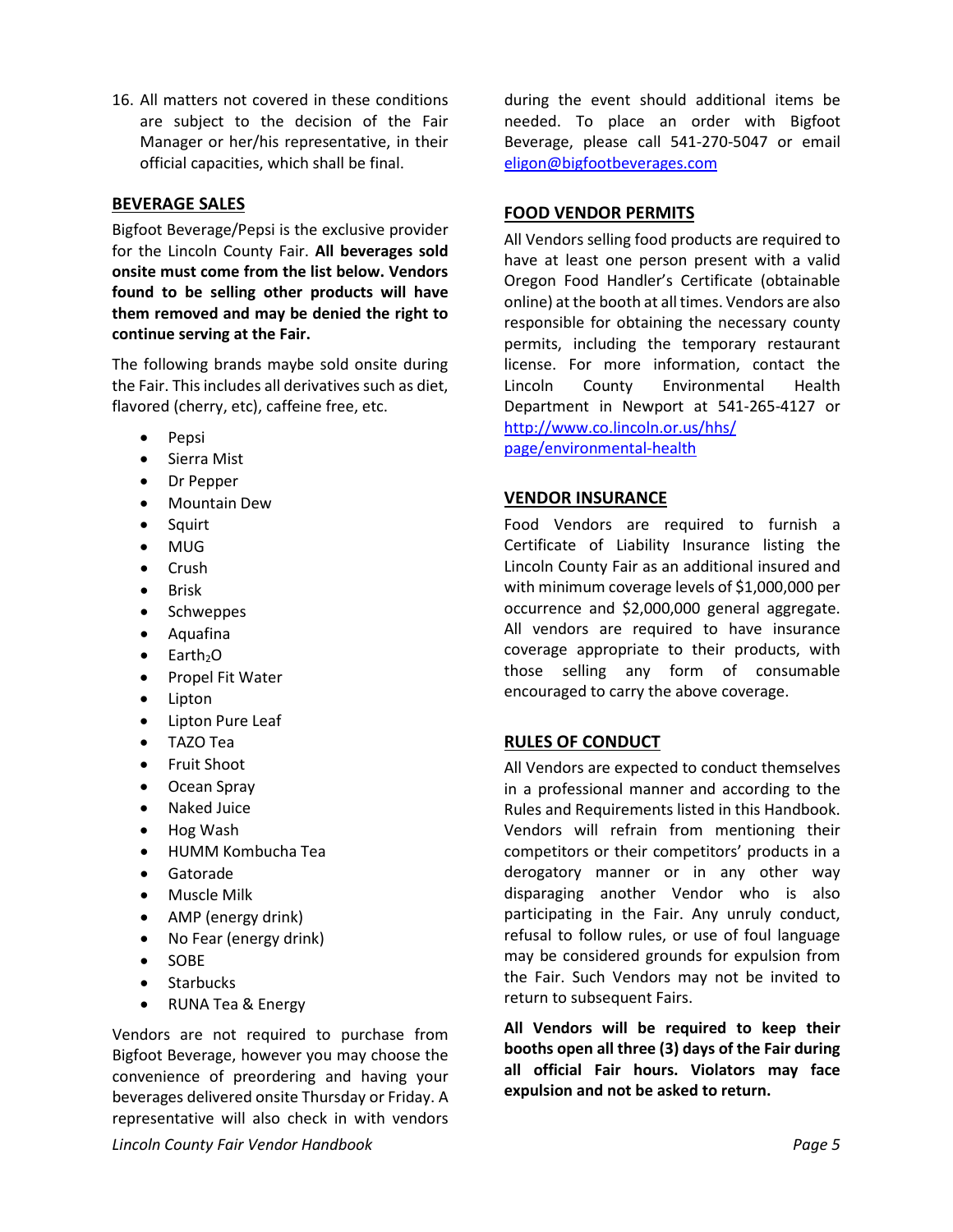16. All matters not covered in these conditions are subject to the decision of the Fair Manager or her/his representative, in their official capacities, which shall be final.

#### **BEVERAGE SALES**

Bigfoot Beverage/Pepsi is the exclusive provider for the Lincoln County Fair. **All beverages sold onsite must come from the list below. Vendors found to be selling other products will have them removed and may be denied the right to continue serving at the Fair.**

The following brands maybe sold onsite during the Fair. This includes all derivatives such as diet, flavored (cherry, etc), caffeine free, etc.

- Pepsi
- Sierra Mist
- Dr Pepper
- Mountain Dew
- Squirt
- MUG
- Crush
- Brisk
- Schweppes
- Aquafina
- $\bullet$  Earth<sub>2</sub>O
- Propel Fit Water
- Lipton
- Lipton Pure Leaf
- TAZO Tea
- Fruit Shoot
- Ocean Spray
- Naked Juice
- Hog Wash
- HUMM Kombucha Tea
- Gatorade
- Muscle Milk
- AMP (energy drink)
- No Fear (energy drink)
- SOBE
- Starbucks
- RUNA Tea & Energy

Vendors are not required to purchase from Bigfoot Beverage, however you may choose the convenience of preordering and having your beverages delivered onsite Thursday or Friday. A representative will also check in with vendors

during the event should additional items be needed. To place an order with Bigfoot Beverage, please call 541-270-5047 or email [eligon@bigfootbeverages.com](mailto:eligon@bigfootbeverages.com)

#### **FOOD VENDOR PERMITS**

All Vendors selling food products are required to have at least one person present with a valid Oregon Food Handler's Certificate (obtainable online) at the booth at all times. Vendors are also responsible for obtaining the necessary county permits, including the temporary restaurant license. For more information, contact the Lincoln County Environmental Health Department in Newport at 541-265-4127 or [http://www.co.lincoln.or.us/hhs/](http://www.co.lincoln.or.us/hhs/page/environmental-health)

[page/environmental-health](http://www.co.lincoln.or.us/hhs/page/environmental-health)

#### **VENDOR INSURANCE**

Food Vendors are required to furnish a Certificate of Liability Insurance listing the Lincoln County Fair as an additional insured and with minimum coverage levels of \$1,000,000 per occurrence and \$2,000,000 general aggregate. All vendors are required to have insurance coverage appropriate to their products, with those selling any form of consumable encouraged to carry the above coverage.

#### **RULES OF CONDUCT**

All Vendors are expected to conduct themselves in a professional manner and according to the Rules and Requirements listed in this Handbook. Vendors will refrain from mentioning their competitors or their competitors' products in a derogatory manner or in any other way disparaging another Vendor who is also participating in the Fair. Any unruly conduct, refusal to follow rules, or use of foul language may be considered grounds for expulsion from the Fair. Such Vendors may not be invited to return to subsequent Fairs.

**All Vendors will be required to keep their booths open all three (3) days of the Fair during all official Fair hours. Violators may face expulsion and not be asked to return.**

*Lincoln County Fair Vendor Handbook Page 5*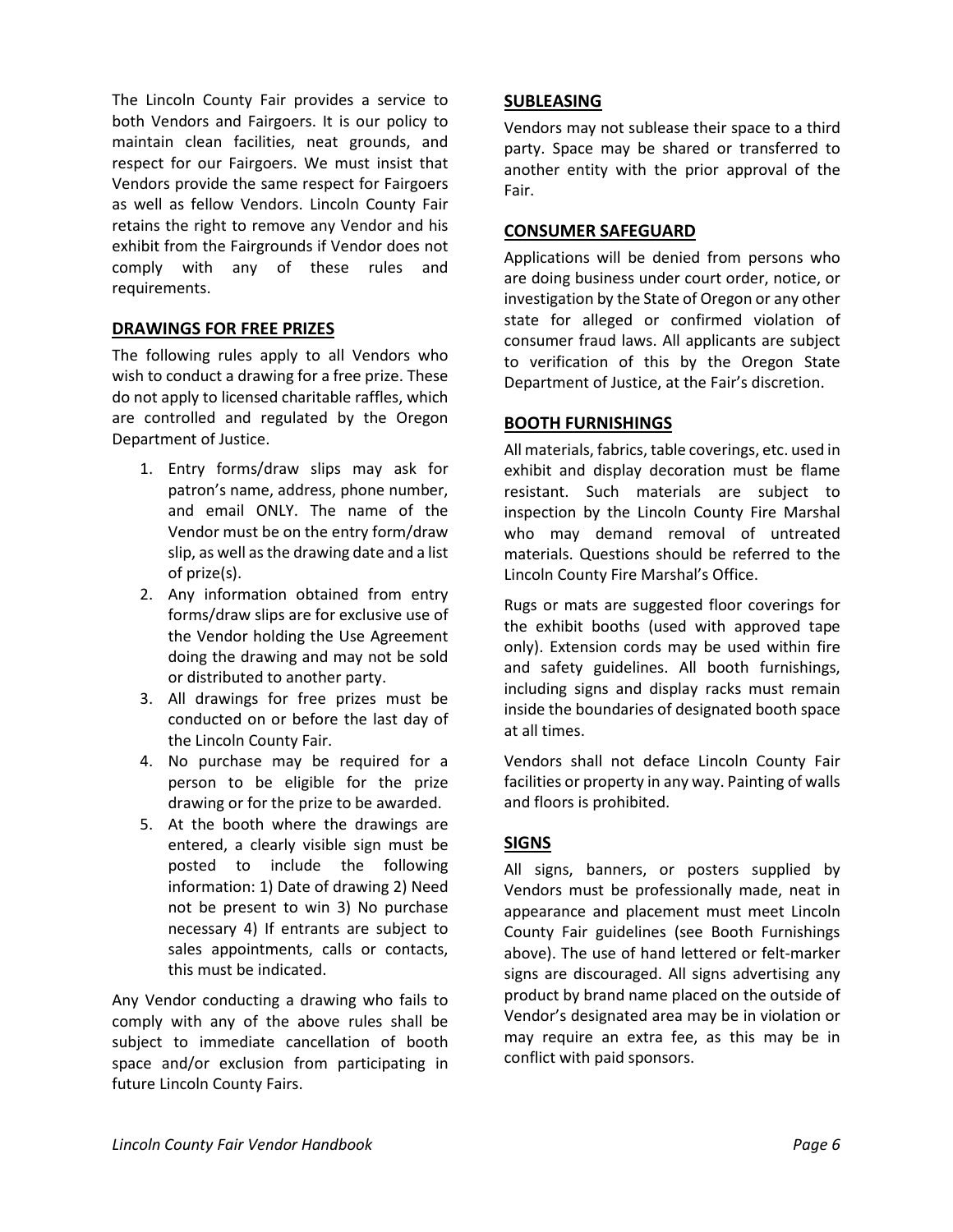The Lincoln County Fair provides a service to both Vendors and Fairgoers. It is our policy to maintain clean facilities, neat grounds, and respect for our Fairgoers. We must insist that Vendors provide the same respect for Fairgoers as well as fellow Vendors. Lincoln County Fair retains the right to remove any Vendor and his exhibit from the Fairgrounds if Vendor does not comply with any of these rules and requirements.

#### **DRAWINGS FOR FREE PRIZES**

The following rules apply to all Vendors who wish to conduct a drawing for a free prize. These do not apply to licensed charitable raffles, which are controlled and regulated by the Oregon Department of Justice.

- 1. Entry forms/draw slips may ask for patron's name, address, phone number, and email ONLY. The name of the Vendor must be on the entry form/draw slip, as well as the drawing date and a list of prize(s).
- 2. Any information obtained from entry forms/draw slips are for exclusive use of the Vendor holding the Use Agreement doing the drawing and may not be sold or distributed to another party.
- 3. All drawings for free prizes must be conducted on or before the last day of the Lincoln County Fair.
- 4. No purchase may be required for a person to be eligible for the prize drawing or for the prize to be awarded.
- 5. At the booth where the drawings are entered, a clearly visible sign must be posted to include the following information: 1) Date of drawing 2) Need not be present to win 3) No purchase necessary 4) If entrants are subject to sales appointments, calls or contacts, this must be indicated.

Any Vendor conducting a drawing who fails to comply with any of the above rules shall be subject to immediate cancellation of booth space and/or exclusion from participating in future Lincoln County Fairs.

#### **SUBLEASING**

Vendors may not sublease their space to a third party. Space may be shared or transferred to another entity with the prior approval of the Fair.

#### **CONSUMER SAFEGUARD**

Applications will be denied from persons who are doing business under court order, notice, or investigation by the State of Oregon or any other state for alleged or confirmed violation of consumer fraud laws. All applicants are subject to verification of this by the Oregon State Department of Justice, at the Fair's discretion.

#### **BOOTH FURNISHINGS**

All materials, fabrics, table coverings, etc. used in exhibit and display decoration must be flame resistant. Such materials are subject to inspection by the Lincoln County Fire Marshal who may demand removal of untreated materials. Questions should be referred to the Lincoln County Fire Marshal's Office.

Rugs or mats are suggested floor coverings for the exhibit booths (used with approved tape only). Extension cords may be used within fire and safety guidelines. All booth furnishings, including signs and display racks must remain inside the boundaries of designated booth space at all times.

Vendors shall not deface Lincoln County Fair facilities or property in any way. Painting of walls and floors is prohibited.

#### **SIGNS**

All signs, banners, or posters supplied by Vendors must be professionally made, neat in appearance and placement must meet Lincoln County Fair guidelines (see Booth Furnishings above). The use of hand lettered or felt-marker signs are discouraged. All signs advertising any product by brand name placed on the outside of Vendor's designated area may be in violation or may require an extra fee, as this may be in conflict with paid sponsors.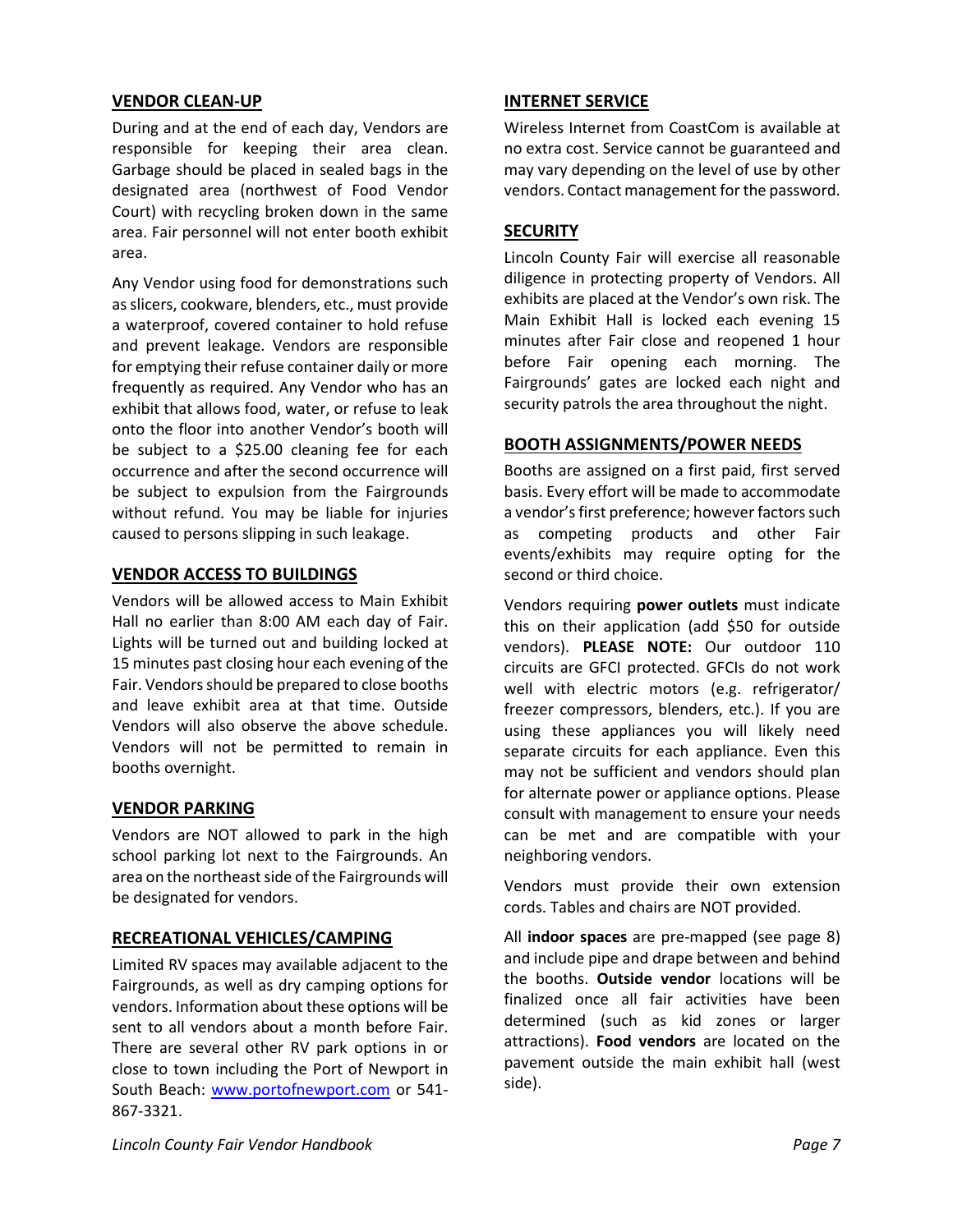#### **VENDOR CLEAN-UP**

During and at the end of each day, Vendors are responsible for keeping their area clean. Garbage should be placed in sealed bags in the designated area (northwest of Food Vendor Court) with recycling broken down in the same area. Fair personnel will not enter booth exhibit area.

Any Vendor using food for demonstrations such as slicers, cookware, blenders, etc., must provide a waterproof, covered container to hold refuse and prevent leakage. Vendors are responsible for emptying their refuse container daily or more frequently as required. Any Vendor who has an exhibit that allows food, water, or refuse to leak onto the floor into another Vendor's booth will be subject to a \$25.00 cleaning fee for each occurrence and after the second occurrence will be subject to expulsion from the Fairgrounds without refund. You may be liable for injuries caused to persons slipping in such leakage.

#### **VENDOR ACCESS TO BUILDINGS**

Vendors will be allowed access to Main Exhibit Hall no earlier than 8:00 AM each day of Fair. Lights will be turned out and building locked at 15 minutes past closing hour each evening of the Fair. Vendors should be prepared to close booths and leave exhibit area at that time. Outside Vendors will also observe the above schedule. Vendors will not be permitted to remain in booths overnight.

#### **VENDOR PARKING**

Vendors are NOT allowed to park in the high school parking lot next to the Fairgrounds. An area on the northeast side of the Fairgrounds will be designated for vendors.

#### **RECREATIONAL VEHICLES/CAMPING**

Limited RV spaces may available adjacent to the Fairgrounds, as well as dry camping options for vendors. Information about these options will be sent to all vendors about a month before Fair. There are several other RV park options in or close to town including the Port of Newport in South Beach: [www.portofnewport.com](http://www.portofnewport.com/) or 541- 867-3321.

#### **INTERNET SERVICE**

Wireless Internet from CoastCom is available at no extra cost. Service cannot be guaranteed and may vary depending on the level of use by other vendors. Contact management for the password.

#### **SECURITY**

Lincoln County Fair will exercise all reasonable diligence in protecting property of Vendors. All exhibits are placed at the Vendor's own risk. The Main Exhibit Hall is locked each evening 15 minutes after Fair close and reopened 1 hour before Fair opening each morning. The Fairgrounds' gates are locked each night and security patrols the area throughout the night.

#### **BOOTH ASSIGNMENTS/POWER NEEDS**

Booths are assigned on a first paid, first served basis. Every effort will be made to accommodate a vendor's first preference; however factors such as competing products and other Fair events/exhibits may require opting for the second or third choice.

Vendors requiring **power outlets** must indicate this on their application (add \$50 for outside vendors). **PLEASE NOTE:** Our outdoor 110 circuits are GFCI protected. GFCIs do not work well with electric motors (e.g. refrigerator/ freezer compressors, blenders, etc.). If you are using these appliances you will likely need separate circuits for each appliance. Even this may not be sufficient and vendors should plan for alternate power or appliance options. Please consult with management to ensure your needs can be met and are compatible with your neighboring vendors.

Vendors must provide their own extension cords. Tables and chairs are NOT provided.

All **indoor spaces** are pre-mapped (see page 8) and include pipe and drape between and behind the booths. **Outside vendor** locations will be finalized once all fair activities have been determined (such as kid zones or larger attractions). **Food vendors** are located on the pavement outside the main exhibit hall (west side).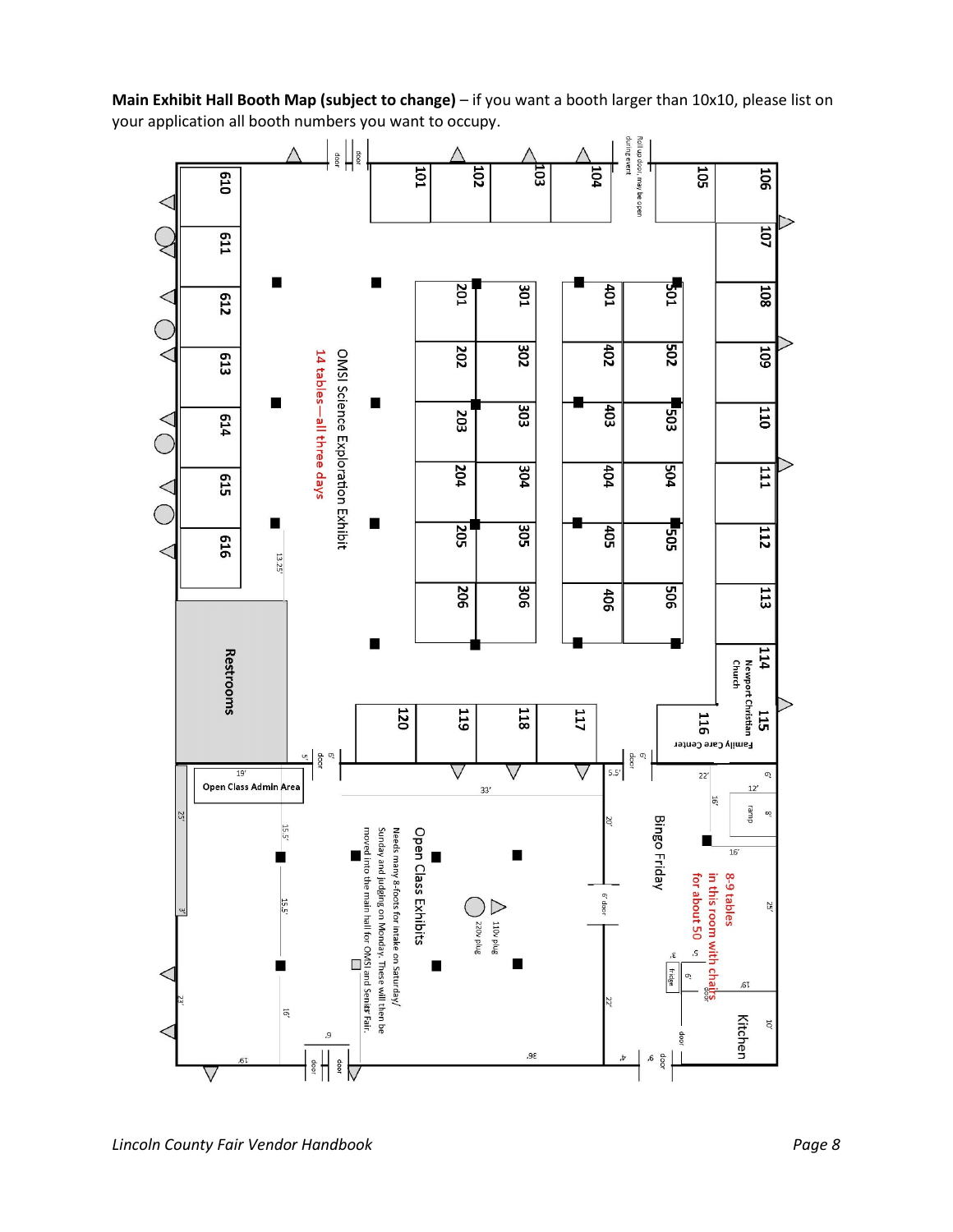

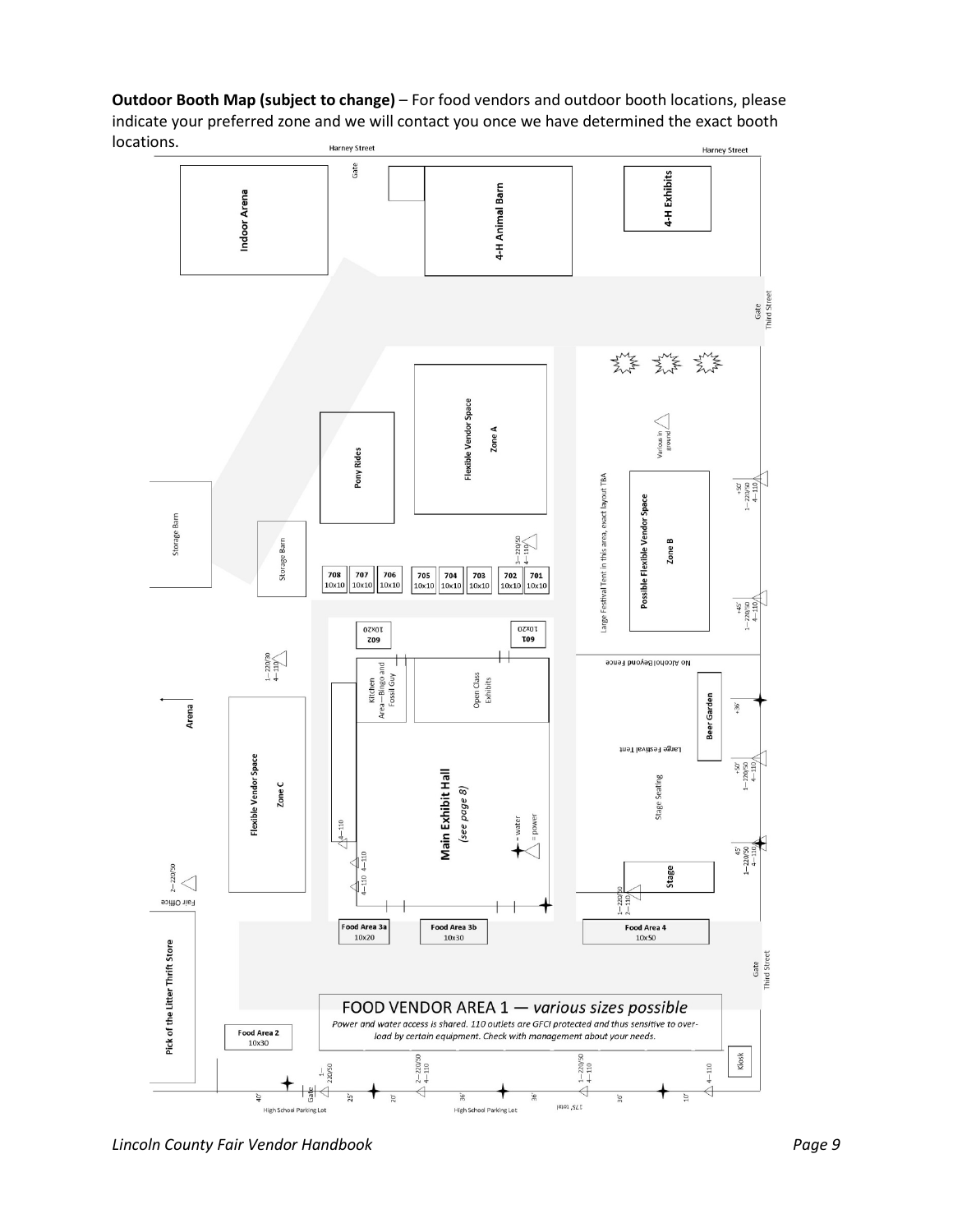**Outdoor Booth Map (subject to change)** – For food vendors and outdoor booth locations, please indicate your preferred zone and we will contact you once we have determined the exact booth locations. Harney Street